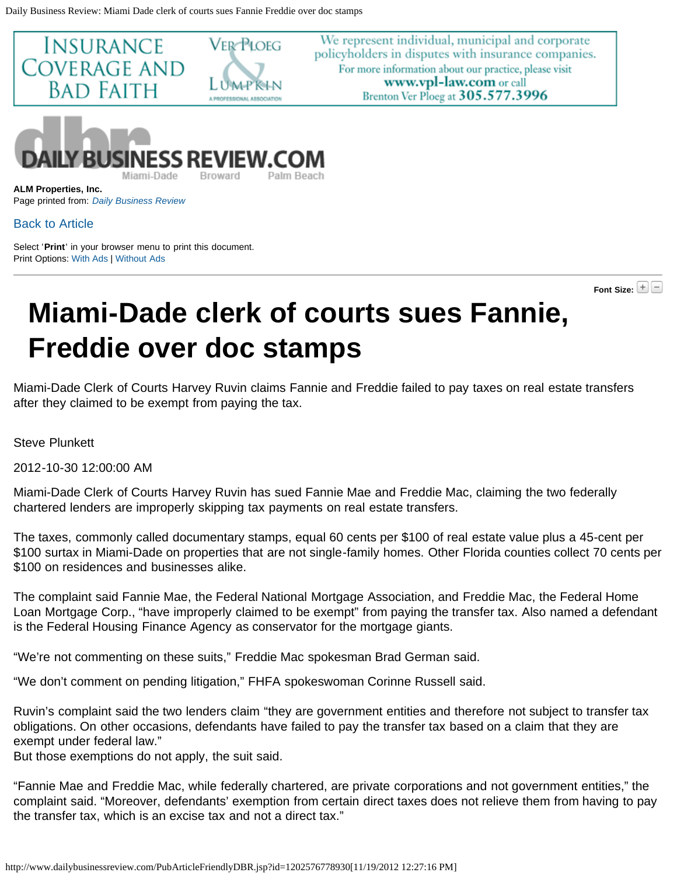<span id="page-0-0"></span>

We represent individual, municipal and corporate policyholders in disputes with insurance companies. For more information about our practice, please visit www.vpl-law.com or call Brenton Ver Ploeg at 305.577.3996



**ALM Properties, Inc.** Page printed from: *[Daily Business Review](http://www.dailybusinessreview.com/index.jsp)*

## [Back to Article](http://www.dailybusinessreview.com/PubArticleDBR.jsp?id=1202576778930)

Select '**Print**' in your browser menu to print this document. Print Options: [With Ads](#page-0-0) | [Without Ads](#page-0-0)

**Font Size:**

## **Miami-Dade clerk of courts sues Fannie, Freddie over doc stamps**

Miami-Dade Clerk of Courts Harvey Ruvin claims Fannie and Freddie failed to pay taxes on real estate transfers after they claimed to be exempt from paying the tax.

Steve Plunkett

2012-10-30 12:00:00 AM

Miami-Dade Clerk of Courts Harvey Ruvin has sued Fannie Mae and Freddie Mac, claiming the two federally chartered lenders are improperly skipping tax payments on real estate transfers.

The taxes, commonly called documentary stamps, equal 60 cents per \$100 of real estate value plus a 45-cent per \$100 surtax in Miami-Dade on properties that are not single-family homes. Other Florida counties collect 70 cents per \$100 on residences and businesses alike.

The complaint said Fannie Mae, the Federal National Mortgage Association, and Freddie Mac, the Federal Home Loan Mortgage Corp., "have improperly claimed to be exempt" from paying the transfer tax. Also named a defendant is the Federal Housing Finance Agency as conservator for the mortgage giants.

"We're not commenting on these suits," Freddie Mac spokesman Brad German said.

"We don't comment on pending litigation," FHFA spokeswoman Corinne Russell said.

Ruvin's complaint said the two lenders claim "they are government entities and therefore not subject to transfer tax obligations. On other occasions, defendants have failed to pay the transfer tax based on a claim that they are exempt under federal law."

But those exemptions do not apply, the suit said.

"Fannie Mae and Freddie Mac, while federally chartered, are private corporations and not government entities," the complaint said. "Moreover, defendants' exemption from certain direct taxes does not relieve them from having to pay the transfer tax, which is an excise tax and not a direct tax."